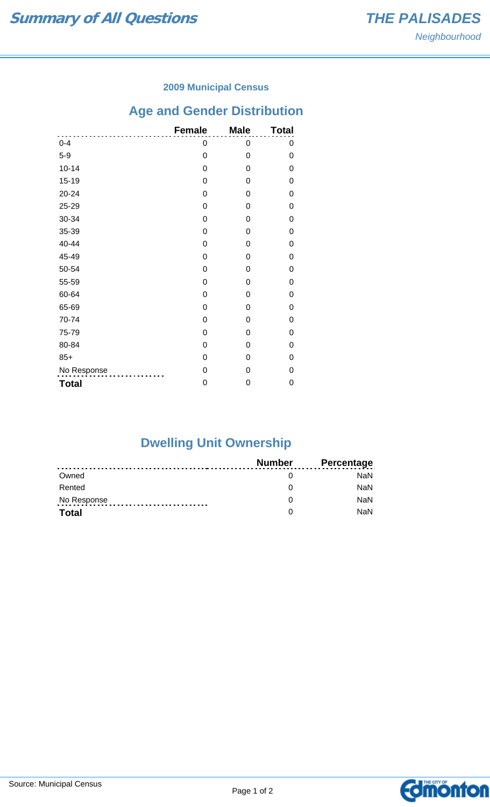### **2009 Municipal Census**

# **Age and Gender Distribution**

|              | <b>Female</b> | <b>Male</b> | <b>Total</b> |
|--------------|---------------|-------------|--------------|
| $0 - 4$      | 0             | 0           | 0            |
| $5-9$        | 0             | 0           | 0            |
| $10 - 14$    | 0             | 0           | 0            |
| $15 - 19$    | 0             | 0           | 0            |
| 20-24        | 0             | 0           | 0            |
| 25-29        | 0             | 0           | 0            |
| 30-34        | 0             | 0           | 0            |
| 35-39        | 0             | 0           | 0            |
| 40-44        | 0             | 0           | 0            |
| 45-49        | 0             | 0           | 0            |
| 50-54        | 0             | 0           | 0            |
| 55-59        | 0             | 0           | 0            |
| 60-64        | 0             | 0           | 0            |
| 65-69        | 0             | 0           | 0            |
| 70-74        | 0             | 0           | 0            |
| 75-79        | 0             | 0           | 0            |
| 80-84        | 0             | 0           | 0            |
| $85+$        | 0             | 0           | 0            |
| No Response  | 0             | 0           | 0            |
| <b>Total</b> | 0             | 0           | 0            |

## **Dwelling Unit Ownership**

|              | Number | <b>Percentage</b> |
|--------------|--------|-------------------|
| Owned        |        | NaN.              |
| Rented       |        | <b>NaN</b>        |
| No Response  |        | <b>NaN</b>        |
| <b>Total</b> |        | <b>NaN</b>        |